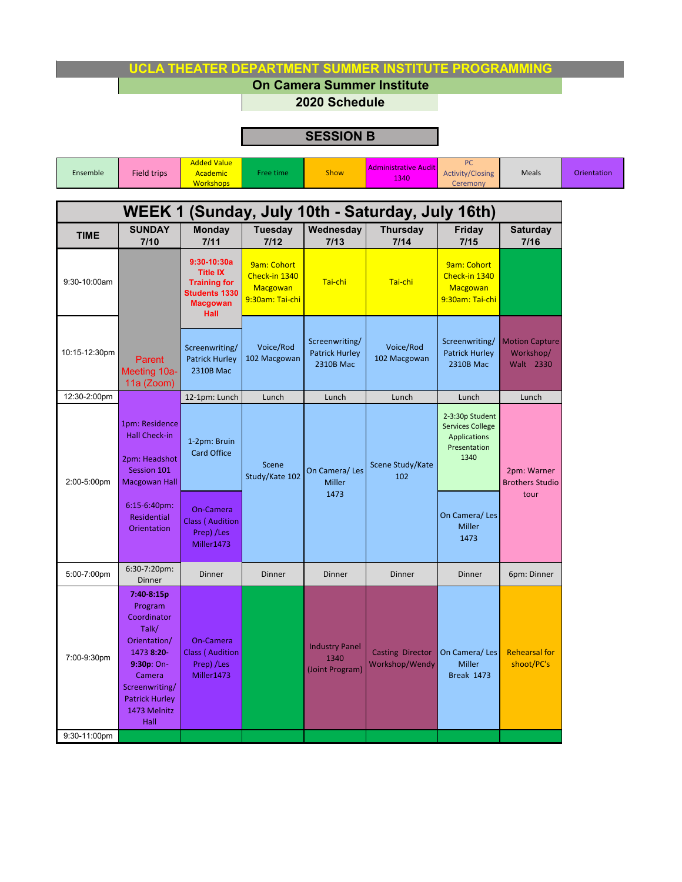## **UCLA THEATER DEPARTMENT SUMMER INSTITUTE PROGRAMMING**

**On Camera Summer Institute**

**2020 Schedule**

## **SESSION B**

| Ensemble                                         | <b>Added Value</b><br>Field trips<br><b>Academic</b><br><b>Workshops</b> |                                             | Free time                           | <b>Administrative Audit</b><br>Show<br>1340 |                         | PC.<br><b>Activity/Closing</b><br>Ceremony | <b>Meals</b>            | Orientation |
|--------------------------------------------------|--------------------------------------------------------------------------|---------------------------------------------|-------------------------------------|---------------------------------------------|-------------------------|--------------------------------------------|-------------------------|-------------|
| WEEK 1 (Sunday, July 10th - Saturday, July 16th) |                                                                          |                                             |                                     |                                             |                         |                                            |                         |             |
| <b>TIME</b>                                      | <b>SUNDAY</b><br>7/10                                                    | <b>Monday</b><br>7/11                       | <b>Tuesday</b><br>7/12              | Wednesday<br>7/13                           | <b>Thursday</b><br>7/14 | Friday<br>7/15                             | <b>Saturday</b><br>7/16 |             |
| 0.001000                                         |                                                                          | $9:30-10:30a$<br><b>Title IX</b><br>_ _ _ _ | <b>9am: Cohort</b><br>Check-in 1340 | $  -$                                       | $  -$                   | 9am: Cohort<br>Check-in 1340               |                         |             |

| 9:30-10:00am  |                                                                                                                                                                        | <b>Title IX</b><br><b>Training for</b><br><b>Students 1330</b><br><b>Macgowan</b><br>Hall | Check-in 1340<br>Macgowan<br>9:30am: Tai-chi | Tai-chi                                              | Tai-chi                                   | Check-in 1340<br>Macgowan<br>9:30am: Tai-chi                                              |                                                 |
|---------------|------------------------------------------------------------------------------------------------------------------------------------------------------------------------|-------------------------------------------------------------------------------------------|----------------------------------------------|------------------------------------------------------|-------------------------------------------|-------------------------------------------------------------------------------------------|-------------------------------------------------|
| 10:15-12:30pm | Parent<br>Meeting 10a-<br>11a (Zoom)                                                                                                                                   | Screenwriting/<br><b>Patrick Hurley</b><br><b>2310B Mac</b>                               | Voice/Rod<br>102 Macgowan                    | Screenwriting/<br><b>Patrick Hurley</b><br>2310B Mac | Voice/Rod<br>102 Macgowan                 | Screenwriting/<br><b>Patrick Hurley</b><br>2310B Mac                                      | <b>Motion Capture</b><br>Workshop/<br>Walt 2330 |
| 12:30-2:00pm  |                                                                                                                                                                        | 12-1pm: Lunch                                                                             | Lunch                                        | Lunch                                                | Lunch                                     | Lunch                                                                                     | Lunch                                           |
| 2:00-5:00pm   | 1pm: Residence<br><b>Hall Check-in</b><br>2pm: Headshot<br>Session 101<br><b>Macgowan Hall</b>                                                                         | 1-2pm: Bruin<br><b>Card Office</b>                                                        | Scene<br>Study/Kate 102                      | On Camera/Les<br><b>Miller</b><br>1473               | Scene Study/Kate<br>102                   | 2-3:30p Student<br><b>Services College</b><br><b>Applications</b><br>Presentation<br>1340 | 2pm: Warner<br><b>Brothers Studio</b><br>tour   |
|               | $6:15-6:40$ pm:<br>Residential<br>Orientation                                                                                                                          | On-Camera<br><b>Class ( Audition</b><br>Prep) /Les<br>Miller1473                          |                                              |                                                      |                                           | On Camera/Les<br><b>Miller</b><br>1473                                                    |                                                 |
| 5:00-7:00pm   | 6:30-7:20pm:<br>Dinner                                                                                                                                                 | Dinner                                                                                    | Dinner                                       | Dinner                                               | Dinner                                    | Dinner                                                                                    | 6pm: Dinner                                     |
| 7:00-9:30pm   | 7:40-8:15p<br>Program<br>Coordinator<br>Talk/<br>Orientation/<br>1473 8:20-<br>9:30p: On-<br>Camera<br>Screenwriting/<br><b>Patrick Hurley</b><br>1473 Melnitz<br>Hall | On-Camera<br><b>Class (Audition</b><br>Prep) /Les<br>Miller1473                           |                                              | <b>Industry Panel</b><br>1340<br>(Joint Program)     | <b>Casting Director</b><br>Workshop/Wendy | On Camera/Les<br><b>Miller</b><br><b>Break 1473</b>                                       | <b>Rehearsal for</b><br>shoot/PC's              |
| 9:30-11:00pm  |                                                                                                                                                                        |                                                                                           |                                              |                                                      |                                           |                                                                                           |                                                 |